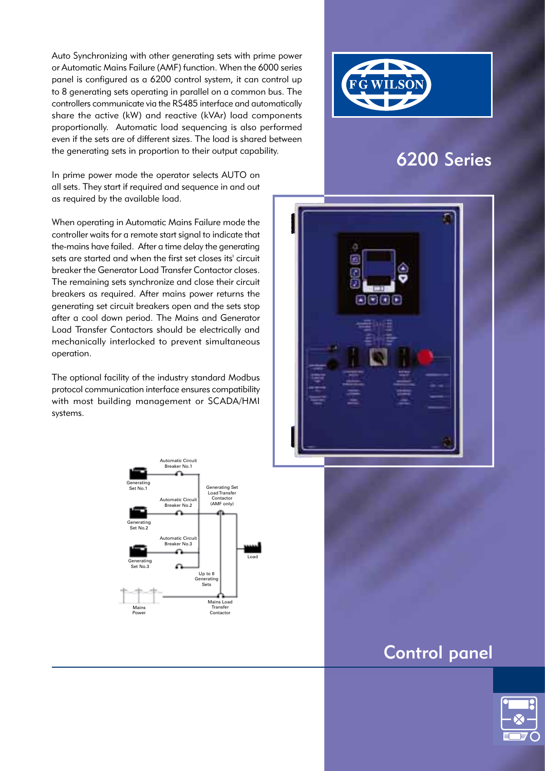Auto Synchronizing with other generating sets with prime power or Automatic Mains Failure (AMF) function. When the 6000 series panel is configured as a 6200 control system, it can control up to 8 generating sets operating in parallel on a common bus. The controllers communicate via the RS485 interface and automatically share the active (kW) and reactive (kVAr) load components proportionally. Automatic load sequencing is also performed even if the sets are of different sizes. The load is shared between the generating sets in proportion to their output capability.



# 6200 Series

In prime power mode the operator selects AUTO on all sets. They start if required and sequence in and out as required by the available load.

When operating in Automatic Mains Failure mode the controller waits for a remote start signal to indicate that the-mains have failed. After a time delay the generating sets are started and when the first set closes its' circuit breaker the Generator Load Transfer Contactor closes. The remaining sets synchronize and close their circuit breakers as required. After mains power returns the generating set circuit breakers open and the sets stop after a cool down period. The Mains and Generator Load Transfer Contactors should be electrically and mechanically interlocked to prevent simultaneous operation.

The optional facility of the industry standard Modbus protocol communication interface ensures compatibility with most building management or SCADA/HMI systems.





# Control panel